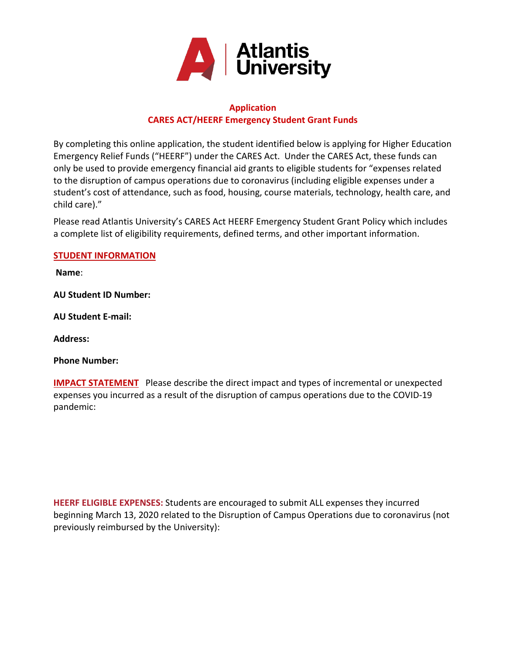

# **Application CARES ACT/HEERF Emergency Student Grant Funds**

By completing this online application, the student identified below is applying for Higher Education Emergency Relief Funds ("HEERF") under the CARES Act. Under the CARES Act, these funds can only be used to provide emergency financial aid grants to eligible students for "expenses related to the disruption of campus operations due to coronavirus (including eligible expenses under a student's cost of attendance, such as food, housing, course materials, technology, health care, and child care)."

Please read Atlantis University's CARES Act HEERF Emergency Student Grant Policy which includes a complete list of eligibility requirements, defined terms, and other important information.

# **STUDENT INFORMATION**

**Name**:

**AU Student ID Number:** 

**AU Student E-mail:**

**Address:**

**Phone Number:**

**IMPACT STATEMENT** Please describe the direct impact and types of incremental or unexpected expenses you incurred as a result of the disruption of campus operations due to the COVID-19 pandemic:

**HEERF ELIGIBLE EXPENSES:** Students are encouraged to submit ALL expenses they incurred beginning March 13, 2020 related to the Disruption of Campus Operations due to coronavirus (not previously reimbursed by the University):